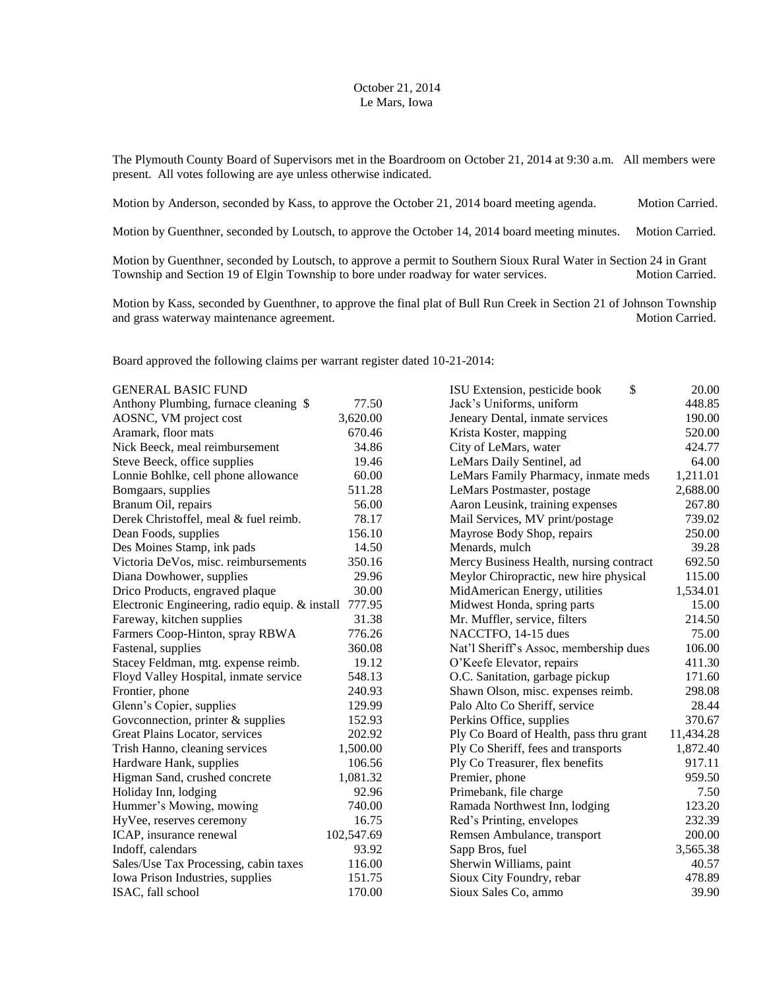## October 21, 2014 Le Mars, Iowa

The Plymouth County Board of Supervisors met in the Boardroom on October 21, 2014 at 9:30 a.m. All members were present. All votes following are aye unless otherwise indicated.

Motion by Anderson, seconded by Kass, to approve the October 21, 2014 board meeting agenda. Motion Carried.

Motion by Guenthner, seconded by Loutsch, to approve the October 14, 2014 board meeting minutes. Motion Carried.

Motion by Guenthner, seconded by Loutsch, to approve a permit to Southern Sioux Rural Water in Section 24 in Grant Township and Section 19 of Elgin Township to bore under roadway for water services. Motion Carried.

Motion by Kass, seconded by Guenthner, to approve the final plat of Bull Run Creek in Section 21 of Johnson Township and grass waterway maintenance agreement. Motion Carried.

Board approved the following claims per warrant register dated 10-21-2014:

| <b>GENERAL BASIC FUND</b>                                |                                        | \$<br>ISU Extension, pesticide book     | 20.00     |
|----------------------------------------------------------|----------------------------------------|-----------------------------------------|-----------|
| Anthony Plumbing, furnace cleaning \$<br>77.50           |                                        | Jack's Uniforms, uniform                | 448.85    |
| AOSNC, VM project cost                                   | 3,620.00                               | Jeneary Dental, inmate services         |           |
| Aramark, floor mats<br>670.46                            |                                        | Krista Koster, mapping                  | 520.00    |
| Nick Beeck, meal reimbursement<br>34.86                  |                                        | City of LeMars, water                   | 424.77    |
| Steve Beeck, office supplies<br>19.46                    |                                        | LeMars Daily Sentinel, ad               | 64.00     |
| Lonnie Bohlke, cell phone allowance<br>60.00             |                                        | LeMars Family Pharmacy, inmate meds     | 1,211.01  |
| Bomgaars, supplies                                       | 511.28                                 | LeMars Postmaster, postage              |           |
| Branum Oil, repairs                                      | 56.00                                  | Aaron Leusink, training expenses        | 267.80    |
| Derek Christoffel, meal & fuel reimb.                    | 78.17                                  | Mail Services, MV print/postage         | 739.02    |
| Dean Foods, supplies                                     | 156.10                                 | Mayrose Body Shop, repairs              | 250.00    |
| Des Moines Stamp, ink pads                               | 14.50                                  | Menards, mulch                          | 39.28     |
| Victoria DeVos, misc. reimbursements                     | 350.16                                 | Mercy Business Health, nursing contract | 692.50    |
| Diana Dowhower, supplies<br>29.96                        |                                        | Meylor Chiropractic, new hire physical  | 115.00    |
| Drico Products, engraved plaque                          | MidAmerican Energy, utilities<br>30.00 |                                         | 1,534.01  |
| Electronic Engineering, radio equip. & install<br>777.95 |                                        | Midwest Honda, spring parts             | 15.00     |
| Fareway, kitchen supplies                                | 31.38                                  | Mr. Muffler, service, filters           | 214.50    |
| Farmers Coop-Hinton, spray RBWA                          | 776.26                                 | NACCTFO, 14-15 dues                     | 75.00     |
| Fastenal, supplies                                       | 360.08                                 | Nat'l Sheriff's Assoc, membership dues  | 106.00    |
| Stacey Feldman, mtg. expense reimb.                      | 19.12                                  | O'Keefe Elevator, repairs               | 411.30    |
| 548.13<br>Floyd Valley Hospital, inmate service          |                                        | O.C. Sanitation, garbage pickup         | 171.60    |
| Frontier, phone                                          | 240.93                                 | Shawn Olson, misc. expenses reimb.      | 298.08    |
| Glenn's Copier, supplies                                 | 129.99                                 | Palo Alto Co Sheriff, service           | 28.44     |
| Goveonnection, printer $&$ supplies                      | 152.93                                 | Perkins Office, supplies                | 370.67    |
| Great Plains Locator, services                           | 202.92                                 | Ply Co Board of Health, pass thru grant | 11,434.28 |
| Trish Hanno, cleaning services                           | 1,500.00                               | Ply Co Sheriff, fees and transports     | 1,872.40  |
| Hardware Hank, supplies                                  | 106.56                                 | Ply Co Treasurer, flex benefits         | 917.11    |
| Higman Sand, crushed concrete                            | 1,081.32                               | Premier, phone                          | 959.50    |
| Holiday Inn, lodging                                     | 92.96                                  | Primebank, file charge                  | 7.50      |
| Hummer's Mowing, mowing                                  | 740.00                                 | Ramada Northwest Inn, lodging           | 123.20    |
| HyVee, reserves ceremony                                 | 16.75                                  | Red's Printing, envelopes               | 232.39    |
| ICAP, insurance renewal                                  | 102,547.69                             | Remsen Ambulance, transport             | 200.00    |
| Indoff, calendars                                        | 93.92                                  | Sapp Bros, fuel                         | 3,565.38  |
| Sales/Use Tax Processing, cabin taxes                    | 116.00                                 |                                         | 40.57     |
| Iowa Prison Industries, supplies                         | 151.75                                 | Sioux City Foundry, rebar               | 478.89    |
| ISAC, fall school                                        | 170.00                                 | Sioux Sales Co, ammo                    | 39.90     |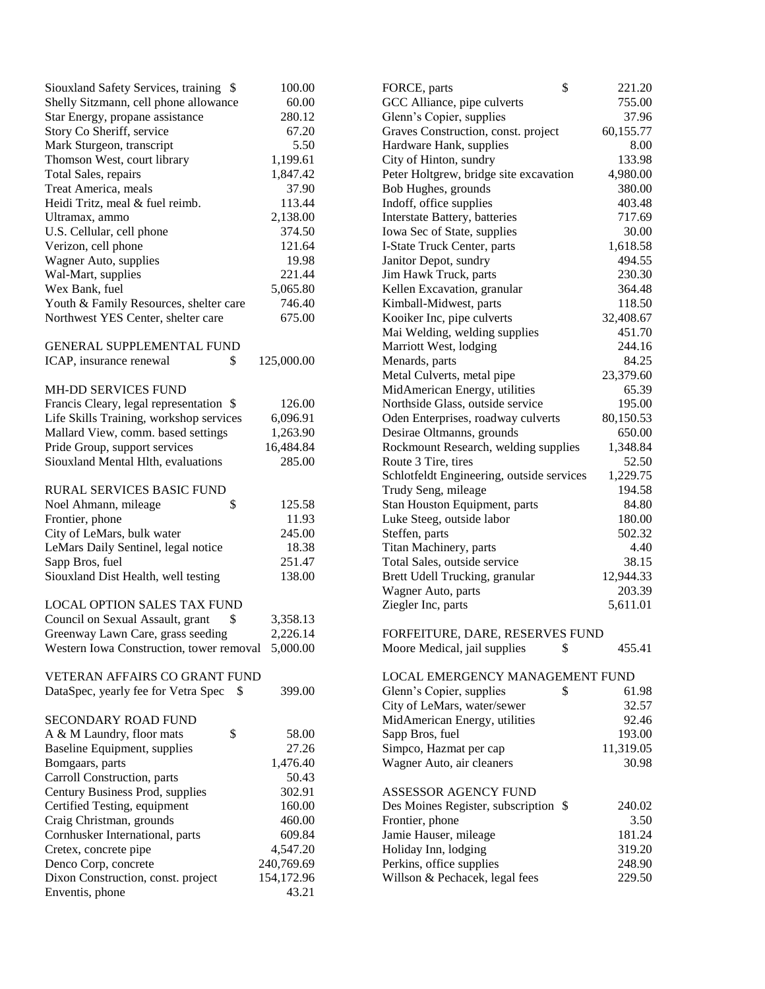| Siouxland Safety Services, training \$            | 100.00     | \$<br>FORCE, parts                                      | 221.20    |
|---------------------------------------------------|------------|---------------------------------------------------------|-----------|
| Shelly Sitzmann, cell phone allowance             | 60.00      |                                                         | 755.00    |
| Star Energy, propane assistance<br>280.12         |            | GCC Alliance, pipe culverts<br>Glenn's Copier, supplies | 37.96     |
| Story Co Sheriff, service                         | 67.20      | Graves Construction, const. project                     | 60,155.77 |
| Mark Sturgeon, transcript                         | 5.50       | Hardware Hank, supplies                                 | 8.00      |
| Thomson West, court library                       | 1,199.61   | City of Hinton, sundry                                  | 133.98    |
| Total Sales, repairs                              | 1,847.42   | Peter Holtgrew, bridge site excavation                  | 4,980.00  |
| Treat America, meals                              | 37.90      | Bob Hughes, grounds                                     | 380.00    |
| Heidi Tritz, meal & fuel reimb.                   | 113.44     | Indoff, office supplies                                 | 403.48    |
| Ultramax, ammo                                    | 2,138.00   | Interstate Battery, batteries                           | 717.69    |
| U.S. Cellular, cell phone                         | 374.50     | Iowa Sec of State, supplies                             | 30.00     |
| Verizon, cell phone                               | 121.64     | I-State Truck Center, parts                             | 1,618.58  |
| Wagner Auto, supplies                             | 19.98      | Janitor Depot, sundry                                   | 494.55    |
| Wal-Mart, supplies                                | 221.44     | Jim Hawk Truck, parts                                   | 230.30    |
| Wex Bank, fuel                                    | 5,065.80   | Kellen Excavation, granular                             | 364.48    |
| Youth & Family Resources, shelter care            | 746.40     | Kimball-Midwest, parts                                  | 118.50    |
| Northwest YES Center, shelter care                | 675.00     | Kooiker Inc, pipe culverts                              | 32,408.67 |
|                                                   |            | Mai Welding, welding supplies                           | 451.70    |
| <b>GENERAL SUPPLEMENTAL FUND</b>                  |            | Marriott West, lodging                                  | 244.16    |
| \$<br>ICAP, insurance renewal                     | 125,000.00 | Menards, parts                                          | 84.25     |
|                                                   |            | Metal Culverts, metal pipe                              | 23,379.60 |
| MH-DD SERVICES FUND                               |            | MidAmerican Energy, utilities                           | 65.39     |
| Francis Cleary, legal representation \$           | 126.00     | Northside Glass, outside service                        | 195.00    |
| Life Skills Training, workshop services           | 6,096.91   | Oden Enterprises, roadway culverts                      | 80,150.53 |
| Mallard View, comm. based settings                | 1,263.90   | Desirae Oltmanns, grounds                               | 650.00    |
| Pride Group, support services                     | 16,484.84  | Rockmount Research, welding supplies                    | 1,348.84  |
| Siouxland Mental Hlth, evaluations                | 285.00     | Route 3 Tire, tires                                     | 52.50     |
|                                                   |            | Schlotfeldt Engineering, outside services               | 1,229.75  |
| RURAL SERVICES BASIC FUND                         |            | Trudy Seng, mileage                                     | 194.58    |
| \$<br>Noel Ahmann, mileage                        | 125.58     | Stan Houston Equipment, parts                           | 84.80     |
| Frontier, phone                                   | 11.93      | Luke Steeg, outside labor                               | 180.00    |
| City of LeMars, bulk water                        | 245.00     | Steffen, parts                                          | 502.32    |
| LeMars Daily Sentinel, legal notice               | 18.38      | Titan Machinery, parts                                  | 4.40      |
| Sapp Bros, fuel                                   | 251.47     | Total Sales, outside service                            | 38.15     |
| Siouxland Dist Health, well testing               | 138.00     | Brett Udell Trucking, granular                          | 12,944.33 |
|                                                   |            | Wagner Auto, parts                                      | 203.39    |
| <b>LOCAL OPTION SALES TAX FUND</b>                |            | Ziegler Inc, parts                                      | 5,611.01  |
| Council on Sexual Assault, grant<br>\$            | 3,358.13   |                                                         |           |
| Greenway Lawn Care, grass seeding                 | 2,226.14   | FORFEITURE, DARE, RESERVES FUND                         |           |
| Western Iowa Construction, tower removal 5,000.00 |            | \$<br>Moore Medical, jail supplies                      | 455.41    |
|                                                   |            |                                                         |           |
| VETERAN AFFAIRS CO GRANT FUND                     |            | LOCAL EMERGENCY MANAGEMENT FUND                         |           |
| DataSpec, yearly fee for Vetra Spec<br>- \$       | 399.00     | \$<br>Glenn's Copier, supplies                          | 61.98     |
|                                                   |            | City of LeMars, water/sewer                             | 32.57     |
| SECONDARY ROAD FUND                               |            | MidAmerican Energy, utilities                           | 92.46     |
| \$<br>A & M Laundry, floor mats                   | 58.00      | Sapp Bros, fuel                                         | 193.00    |
| Baseline Equipment, supplies                      | 27.26      | Simpco, Hazmat per cap                                  | 11,319.05 |
| Bomgaars, parts                                   | 1,476.40   | Wagner Auto, air cleaners                               | 30.98     |
| Carroll Construction, parts                       | 50.43      |                                                         |           |
| Century Business Prod, supplies                   | 302.91     | ASSESSOR AGENCY FUND                                    |           |
| Certified Testing, equipment                      | 160.00     | Des Moines Register, subscription \$                    | 240.02    |
| Craig Christman, grounds                          | 460.00     | Frontier, phone                                         | 3.50      |
| Cornhusker International, parts                   | 609.84     | Jamie Hauser, mileage                                   | 181.24    |
| Cretex, concrete pipe                             | 4,547.20   | Holiday Inn, lodging                                    | 319.20    |
| Denco Corp, concrete                              | 240,769.69 | Perkins, office supplies                                | 248.90    |
| Dixon Construction, const. project                | 154,172.96 | Willson & Pechacek, legal fees                          | 229.50    |
| Enventis, phone                                   | 43.21      |                                                         |           |